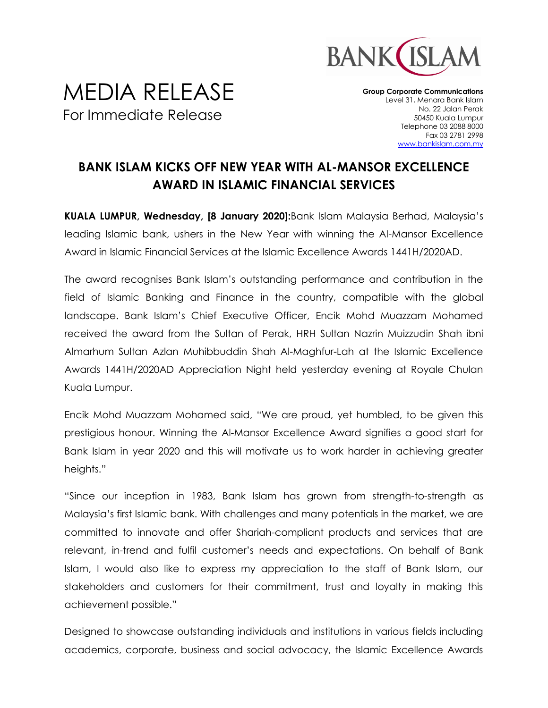

## MEDIA RELEASE For Immediate Release

**Group Corporate Communications** Level 31, Menara Bank Islam No. 22 Jalan Perak 50450 Kuala Lumpur Telephone 03 2088 8000 Fax 03 2781 2998 [www.bankislam.com.my](http://www.bankislam.com.my/)

## **BANK ISLAM KICKS OFF NEW YEAR WITH AL-MANSOR EXCELLENCE AWARD IN ISLAMIC FINANCIAL SERVICES**

**KUALA LUMPUR, Wednesday, [8 January 2020]:**Bank Islam Malaysia Berhad, Malaysia's leading Islamic bank, ushers in the New Year with winning the Al-Mansor Excellence Award in Islamic Financial Services at the Islamic Excellence Awards 1441H/2020AD.

The award recognises Bank Islam's outstanding performance and contribution in the field of Islamic Banking and Finance in the country, compatible with the global landscape. Bank Islam's Chief Executive Officer, Encik Mohd Muazzam Mohamed received the award from the Sultan of Perak, HRH Sultan Nazrin Muizzudin Shah ibni Almarhum Sultan Azlan Muhibbuddin Shah Al-Maghfur-Lah at the Islamic Excellence Awards 1441H/2020AD Appreciation Night held yesterday evening at Royale Chulan Kuala Lumpur.

Encik Mohd Muazzam Mohamed said, "We are proud, yet humbled, to be given this prestigious honour. Winning the Al-Mansor Excellence Award signifies a good start for Bank Islam in year 2020 and this will motivate us to work harder in achieving greater heights."

"Since our inception in 1983, Bank Islam has grown from strength-to-strength as Malaysia's first Islamic bank. With challenges and many potentials in the market, we are committed to innovate and offer Shariah-compliant products and services that are relevant, in-trend and fulfil customer's needs and expectations. On behalf of Bank Islam, I would also like to express my appreciation to the staff of Bank Islam, our stakeholders and customers for their commitment, trust and loyalty in making this achievement possible."

Designed to showcase outstanding individuals and institutions in various fields including academics, corporate, business and social advocacy, the Islamic Excellence Awards